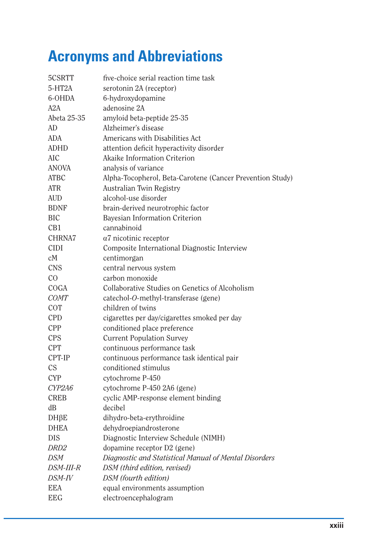## **Acronyms and Abbreviations**

| 5CSRTT           | five-choice serial reaction time task                     |
|------------------|-----------------------------------------------------------|
| 5-HT2A           | serotonin 2A (receptor)                                   |
| 6-OHDA           | 6-hydroxydopamine                                         |
| A2A              | adenosine 2A                                              |
| Abeta 25-35      | amyloid beta-peptide 25-35                                |
| AD               | Alzheimer's disease                                       |
| ADA              | Americans with Disabilities Act                           |
| <b>ADHD</b>      | attention deficit hyperactivity disorder                  |
| <b>AIC</b>       | Akaike Information Criterion                              |
| <b>ANOVA</b>     | analysis of variance                                      |
| <b>ATBC</b>      | Alpha-Tocopherol, Beta-Carotene (Cancer Prevention Study) |
| <b>ATR</b>       | Australian Twin Registry                                  |
| <b>AUD</b>       | alcohol-use disorder                                      |
| <b>BDNF</b>      | brain-derived neurotrophic factor                         |
| <b>BIC</b>       | Bayesian Information Criterion                            |
| CB1              | cannabinoid                                               |
| CHRNA7           | $\alpha$ 7 nicotinic receptor                             |
| <b>CIDI</b>      | Composite International Diagnostic Interview              |
| сM               | centimorgan                                               |
| <b>CNS</b>       | central nervous system                                    |
| CO               | carbon monoxide                                           |
| COGA             | Collaborative Studies on Genetics of Alcoholism           |
| <b>COMT</b>      | catechol-O-methyl-transferase (gene)                      |
| <b>COT</b>       | children of twins                                         |
| <b>CPD</b>       | cigarettes per day/cigarettes smoked per day              |
| <b>CPP</b>       | conditioned place preference                              |
| <b>CPS</b>       | <b>Current Population Survey</b>                          |
| <b>CPT</b>       | continuous performance task                               |
| CPT-IP           | continuous performance task identical pair                |
| <b>CS</b>        | conditioned stimulus                                      |
| <b>CYP</b>       | cytochrome P-450                                          |
| CYP2A6           | cytochrome P-450 2A6 (gene)                               |
| <b>CREB</b>      | cyclic AMP-response element binding                       |
| dB               | decibel                                                   |
| $DH\beta E$      | dihydro-beta-erythroidine                                 |
| <b>DHEA</b>      | dehydroepiandrosterone                                    |
| <b>DIS</b>       | Diagnostic Interview Schedule (NIMH)                      |
| DRD <sub>2</sub> | dopamine receptor D2 (gene)                               |
| <b>DSM</b>       | Diagnostic and Statistical Manual of Mental Disorders     |
| <b>DSM-III-R</b> | DSM (third edition, revised)                              |
| DSM-IV           | DSM (fourth edition)                                      |
| <b>EEA</b>       | equal environments assumption                             |
| <b>EEG</b>       | electroencephalogram                                      |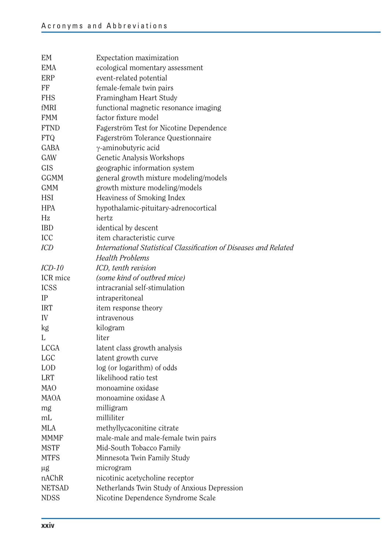| <b>EM</b>     | Expectation maximization                                         |
|---------------|------------------------------------------------------------------|
| <b>EMA</b>    | ecological momentary assessment                                  |
| <b>ERP</b>    | event-related potential                                          |
| FF            | female-female twin pairs                                         |
| <b>FHS</b>    | Framingham Heart Study                                           |
| fMRI          | functional magnetic resonance imaging                            |
| <b>FMM</b>    | factor fixture model                                             |
| <b>FTND</b>   | Fagerström Test for Nicotine Dependence                          |
| <b>FTQ</b>    | Fagerström Tolerance Questionnaire                               |
| <b>GABA</b>   | γ-aminobutyric acid                                              |
| GAW           | Genetic Analysis Workshops                                       |
| <b>GIS</b>    | geographic information system                                    |
| <b>GGMM</b>   | general growth mixture modeling/models                           |
| <b>GMM</b>    | growth mixture modeling/models                                   |
| <b>HSI</b>    | Heaviness of Smoking Index                                       |
| <b>HPA</b>    | hypothalamic-pituitary-adrenocortical                            |
| Hz            | hertz                                                            |
| <b>IBD</b>    | identical by descent                                             |
| ICC           | item characteristic curve                                        |
| <b>ICD</b>    | International Statistical Classification of Diseases and Related |
|               | <b>Health Problems</b>                                           |
| $ICD-10$      | ICD, tenth revision                                              |
| ICR mice      | (some kind of outbred mice)                                      |
| <b>ICSS</b>   | intracranial self-stimulation                                    |
| IP            | intraperitoneal                                                  |
| <b>IRT</b>    | item response theory                                             |
| IV            | intravenous                                                      |
| kg            | kilogram                                                         |
| L             | liter                                                            |
| <b>LCGA</b>   | latent class growth analysis                                     |
| <b>LGC</b>    | latent growth curve                                              |
| <b>LOD</b>    | log (or logarithm) of odds                                       |
| <b>LRT</b>    | likelihood ratio test                                            |
| <b>MAO</b>    | monoamine oxidase                                                |
| <b>MAOA</b>   | monoamine oxidase A                                              |
| mg            | milligram                                                        |
| mL            | milliliter                                                       |
| <b>MLA</b>    | methyllycaconitine citrate                                       |
| <b>MMMF</b>   | male-male and male-female twin pairs                             |
| <b>MSTF</b>   | Mid-South Tobacco Family                                         |
| <b>MTFS</b>   | Minnesota Twin Family Study                                      |
| μg            | microgram                                                        |
| nAChR         | nicotinic acetycholine receptor                                  |
| <b>NETSAD</b> | Netherlands Twin Study of Anxious Depression                     |
| <b>NDSS</b>   | Nicotine Dependence Syndrome Scale                               |
|               |                                                                  |